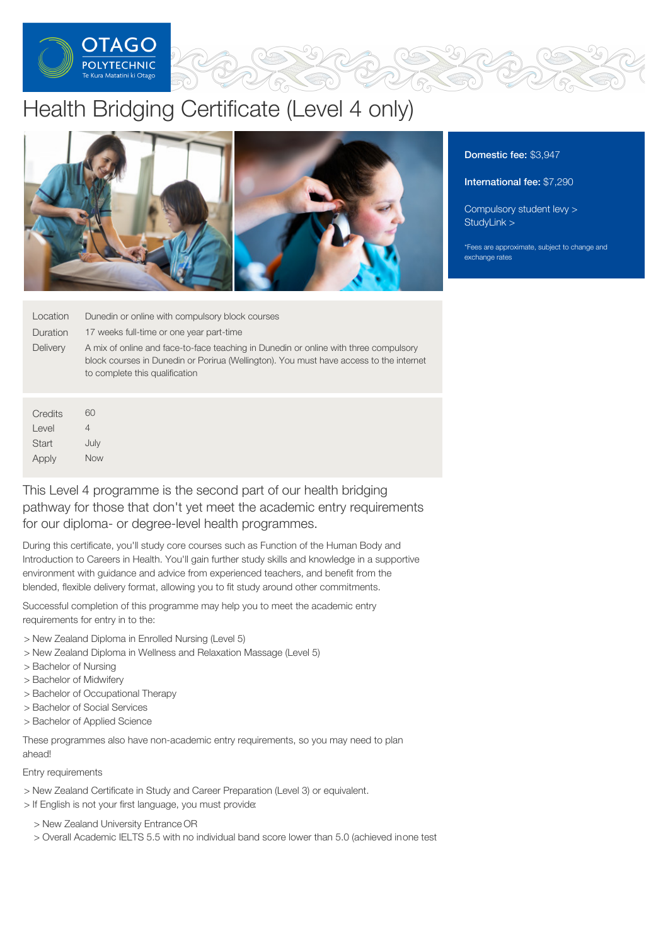

# Health Bridging Certificate (Level 4 only)



| Location        | Dunedin or online with compulsory block courses                                                                                                                                                                  |
|-----------------|------------------------------------------------------------------------------------------------------------------------------------------------------------------------------------------------------------------|
| Duration        | 17 weeks full-time or one year part-time                                                                                                                                                                         |
| <b>Delivery</b> | A mix of online and face-to-face teaching in Dunedin or online with three compulsory<br>block courses in Dunedin or Porirua (Wellington). You must have access to the internet<br>to complete this qualification |
|                 |                                                                                                                                                                                                                  |

**Credits** Level **Start** Apply 60 4 July Now

This Level 4 programme is the second part of our health bridging pathway for those that don't yet meet the academic entry requirements for our diploma- or degree-level health programmes.

During this certificate, you'll study core courses such as Function of the Human Body and Introduction to Careers in Health. You'll gain further study skills and knowledge in a supportive environment with guidance and advice from experienced teachers, and benefit from the blended, flexible delivery format, allowing you to fit study around other commitments.

Successful completion of this programme may help you to meet the academic entry requirements for entry in to the:

- > New Zealand Diploma in Enrolled Nursing (Level 5)
- > New Zealand Diploma in Wellness and Relaxation Massage (Level 5)
- > Bachelor of Nursing
- > Bachelor of Midwifery
- > Bachelor of Occupational Therapy
- > Bachelor of Social Services
- > Bachelor of Applied Science

These programmes also have non-academic entry requirements, so you may need to plan ahead!

### Entry requirements

- > New Zealand Certificate in Study and Career Preparation (Level 3) or equivalent.
- > If English is not your first language, you must provide:
	- > New Zealand University Entrance OR
	- > Overall Academic IELTS 5.5 with no individual band score lower than 5.0 (achieved inone test

## Domestic fee: \$3,947

International fee: \$7,290

[Compulsory](https://online.op.ac.nz/students/important-information/student-services-levy/) student levy > [StudyLink](https://www.studylink.govt.nz/) >

\*Fees are approximate, subject to change and exchange rates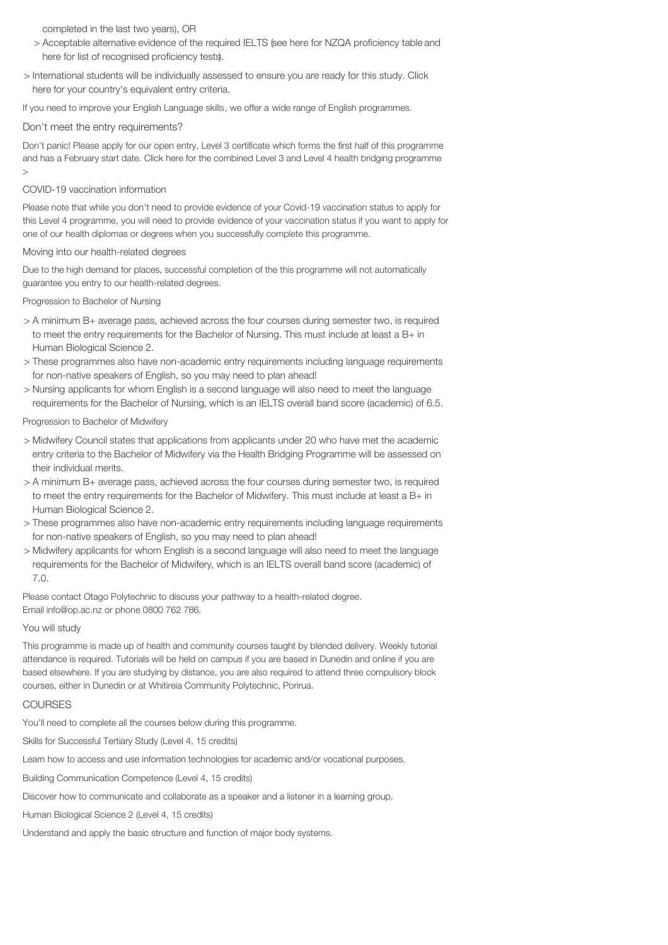completed in the last two years), OR

- > Acceptable alternative evidence of the required IELTS (see here for NZQA proficiency table and here for list of recognised proficiency tests).
- > International students will be individually assessed to ensure you are ready for this study. Click here for your country's equivalent entry criteria.

If you need to improve your English Language skills, we offer a wide range of English programmes.

#### Don't meet the entry requirements?

Don't panic! Please apply for our open entry, Level 3 certificate which forms the first half of this programme and has a February start date. Click here for the combined Level 3 and Level 4 health bridging programme  $\rightarrow$ 

#### COVID-19 vaccination information

Please note that while you don't need to provide evidence of your Covid-19 vaccination status to apply for this Level 4 programme, you will need to provide evidence of your vaccination status if you want to apply for one of our health diplomas or degrees when you successfully complete this programme.

#### Moving into our health-related degrees

Due to the high demand for places, successful completion of the this programme will not automatically guarantee you entry to our health-related degrees.

#### Progression to Bachelor of Nursing

- > A minimum B+ average pass, achieved across the four courses during semester two, is required to meet the entry requirements for the Bachelor of Nursing. This must include at least a B+ in Human Biological Science 2.
- > These programmes also have non-academic entry requirements including language requirements for non-native speakers of English, so you may need to plan ahead!
- > Nursing applicants for whom English is a second language will also need to meet the language requirements for the Bachelor of Nursing, which is an IELTS overall band score (academic) of 6.5.

Progression to Bachelor of Midwifery

- > Midwifery Council states that applications from applicants under 20 who have met the academic entry criteria to the Bachelor of Midwifery via the Health Bridging Programme will be assessed on their individual merits.
- > A minimum B+ average pass, achieved across the four courses during semester two, is required to meet the entry requirements for the Bachelor of Midwifery. This must include at least a B+ in Human Biological Science 2.
- > These programmes also have non-academic entry requirements including language requirements for non-native speakers of English, so you may need to plan ahead!
- > Midwifery applicants for whom English is a second language will also need to meet the language requirements for the Bachelor of Midwifery, which is an IELTS overall band score (academic) of 7.0.

Please contact Otago Polytechnic to discuss your pathway to a health-related degree. Email info@op.ac.nz or phone 0800 762 786.

#### You will study

This programme is made up of health and community courses taught by blended delivery. Weekly tutorial attendance is required. Tutorials will be held on campus if you are based in Dunedin and online if you are based elsewhere. If you are studying by distance, you are also required to attend three compulsory block courses, either in Dunedin or at Whitireia Community Polytechnic, Porirua.

#### **COURSES**

You'll need to complete all the courses below during this programme.

Skills for Successful Tertiary Study (Level 4, 15 credits)

Learn how to access and use information technologies for academic and/or vocational purposes.

Building Communication Competence (Level 4, 15 credits)

Discover how to communicate and collaborate as a speaker and a listener in a learning group.

Human Biological Science 2 (Level 4, 15 credits)

Understand and apply the basic structure and function of major body systems.